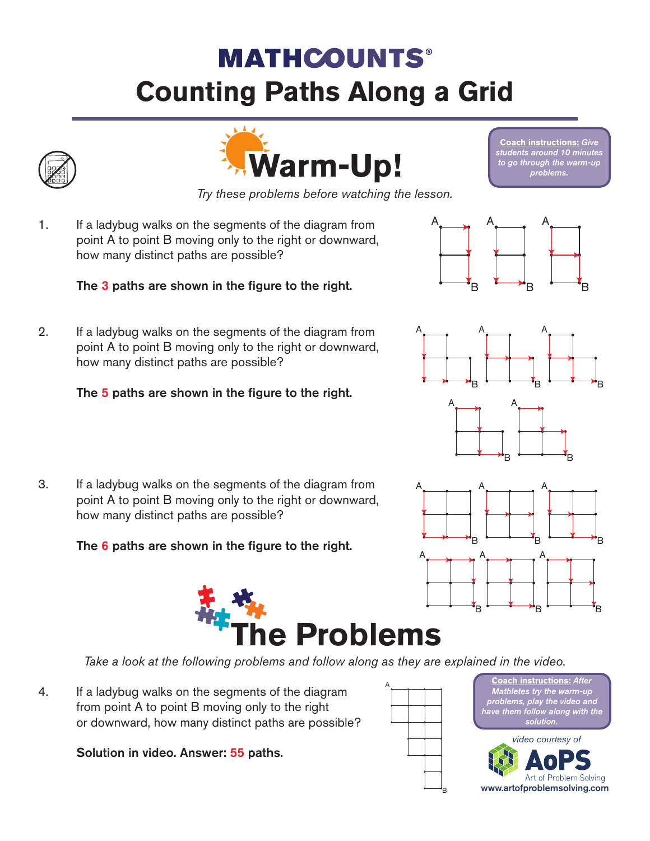## **MATHCOUNTS® Counting Paths Along a Grid**





*Try these problems before watching the lesson.*

1. If a ladybug walks on the segments of the diagram from point A to point B moving only to the right or downward, how many distinct paths are possible?

## The 3 paths are shown in the figure to the right.

2. If a ladybug walks on the segments of the diagram from

how many distinct paths are possible?

point A to point B moving only to the right or downward,



A

B



B

A

B

A



The 5 paths are shown in the figure to the right.

3. If a ladybug walks on the segments of the diagram from point A to point B moving only to the right or downward, how many distinct paths are possible?

The 6 paths are shown in the figure to the right.



*Take a look at the following problems and follow along as they are explained in the video.*

4. If a ladybug walks on the segments of the diagram from point A to point B moving only to the right or downward, how many distinct paths are possible?

Solution in video. Answer: 55 paths.





Art of Problem Solving www.artofproblemsolving.com